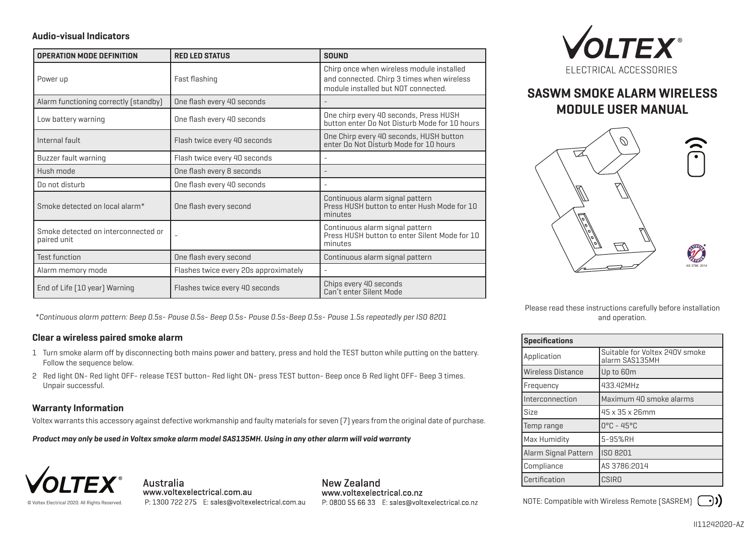## **Audio-visual Indicators**

| <b>OPERATION MODE DEFINITION</b>                   | <b>RED LED STATUS</b>                 | <b>SOUND</b>                                                                                                                   |
|----------------------------------------------------|---------------------------------------|--------------------------------------------------------------------------------------------------------------------------------|
| Power up                                           | Fast flashing                         | Chirp once when wireless module installed<br>and connected. Chirp 3 times when wireless<br>module installed but NOT connected. |
| Alarm functioning correctly (standby)              | One flash every 40 seconds            |                                                                                                                                |
| Low battery warning                                | One flash every 40 seconds            | One chirp every 40 seconds, Press HUSH<br>button enter Do Not Disturb Mode for 10 hours                                        |
| Internal fault                                     | Flash twice every 40 seconds          | One Chirp every 40 seconds, HUSH button<br>enter Do Not Disturb Mode for 10 hours                                              |
| Buzzer fault warning                               | Flash twice every 40 seconds          |                                                                                                                                |
| Hush mode                                          | One flash every 8 seconds             |                                                                                                                                |
| Do not disturb                                     | One flash every 40 seconds            |                                                                                                                                |
| Smoke detected on local alarm <sup>*</sup>         | One flash every second                | Continuous alarm signal pattern<br>Press HUSH button to enter Hush Mode for 10<br>minutes                                      |
| Smoke detected on interconnected or<br>paired unit |                                       | Continuous alarm signal pattern<br>Press HUSH button to enter Silent Mode for 10<br>minutes                                    |
| <b>Test function</b>                               | One flash every second                | Continuous alarm signal pattern                                                                                                |
| Alarm memory mode                                  | Flashes twice every 20s approximately |                                                                                                                                |
| End of Life [10 year] Warning                      | Flashes twice every 40 seconds        | Chips every 40 seconds<br>Can't enter Silent Mode                                                                              |

*\*Continuous alarm pattern: Beep 0.5s- Pause 0.5s- Beep 0.5s- Pause 0.5s-Beep 0.5s- Pause 1.5s repeatedly per ISO 8201*

## **Clear a wireless paired smoke alarm**

- Turn smoke alarm off by disconnecting both mains power and battery, press and hold the TEST button while putting on the battery. 1 Follow the sequence below.
- 2 Red light ON- Red light OFF- release TEST button- Red light ON- press TEST button- Beep once & Red light OFF- Beep 3 times. Unpair successful.

# **Warranty Information**

Voltex warrants this accessory against defective workmanship and faulty materials for seven (7) years from the original date of purchase.

*Product may only be used in Voltex smoke alarm model SAS135MH. Using in any other alarm will void warranty*



Australia www.voltexelectrical.com.au P: 1300 722 275 E: sales@voltexelectrical.com.au

New Zealand www.voltexelectrical.co.nz P: 0800 55 66 33 E: sales@voltexelectrical.co.nz



# **SASWM SMOKE ALARM WIRELESS MODULE USER MANUAL**



Please read these instructions carefully before installation and operation.

| <b>Specifications</b> |                                                  |  |
|-----------------------|--------------------------------------------------|--|
| Application           | Suitable for Voltex 240V smoke<br>alarm SAS135MH |  |
| Wireless Distance     | Up to 60m                                        |  |
| Frequency             | 433.42MHz                                        |  |
| Interconnection       | Maximum 40 smoke alarms                          |  |
| <b>Size</b>           | 45 x 35 x 26mm                                   |  |
| Temp range            | $0^{\circ}$ C - 45°C                             |  |
| Max Humidity          | 5-95%RH                                          |  |
| Alarm Signal Pattern  | <b>ISO 8201</b>                                  |  |
| Compliance            | AS 3786:2014                                     |  |
| l Certification       | <b>CSIRO</b>                                     |  |

NOTE: Compatible with Wireless Remote (SASREM)